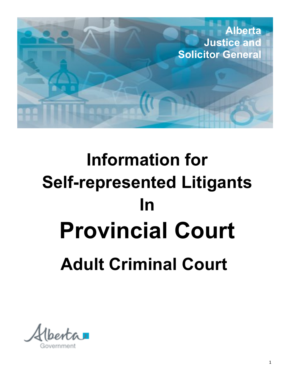

# **Information for Self-represented Litigants In Provincial Court Adult Criminal Court**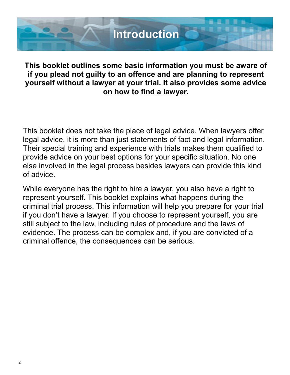

**This booklet outlines some basic information you must be aware of if you plead not guilty to an offence and are planning to represent yourself without a lawyer at your trial. It also provides some advice on how to find a lawyer.**

This booklet does not take the place of legal advice. When lawyers offer legal advice, it is more than just statements of fact and legal information. Their special training and experience with trials makes them qualified to provide advice on your best options for your specific situation. No one else involved in the legal process besides lawyers can provide this kind of advice.

While everyone has the right to hire a lawyer, you also have a right to represent yourself. This booklet explains what happens during the criminal trial process. This information will help you prepare for your trial if you don't have a lawyer. If you choose to represent yourself, you are still subject to the law, including rules of procedure and the laws of evidence. The process can be complex and, if you are convicted of a criminal offence, the consequences can be serious.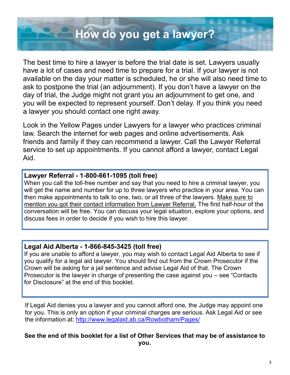## **How do you get a lawyer?**

The best time to hire a lawyer is before the trial date is set. Lawyers usually have a lot of cases and need time to prepare for a trial. If your lawyer is not available on the day your matter is scheduled, he or she will also need time to ask to postpone the trial (an adjournment). If you don't have a lawyer on the day of trial, the Judge might not grant you an adjournment to get one, and you will be expected to represent yourself. Don't delay. If you think you need a lawyer you should contact one right away.

Look in the Yellow Pages under Lawyers for a lawyer who practices criminal law. Search the internet for web pages and online advertisements. Ask friends and family if they can recommend a lawyer. Call the Lawyer Referral service to set up appointments. If you cannot afford a lawyer, contact Legal Aid.

#### **Lawyer Referral - 1-800-661-1095 (toll free)**

When you call the toll-free number and say that you need to hire a criminal lawyer, you will get the name and number for up to three lawyers who practice in your area. You can then make appointments to talk to one, two, or all three of the lawyers. Make sure to mention you got their contact information from Lawyer Referral. The first half-hour of the conversation will be free. You can discuss your legal situation, explore your options, and discuss fees in order to decide if you wish to hire this lawyer.

#### **Legal Aid Alberta - 1-866-845-3425 (toll free)**

If you are unable to afford a lawyer, you may wish to contact Legal Aid Alberta to see if you qualify for a legal aid lawyer. You should find out from the Crown Prosecutor if the Crown will be asking for a jail sentence and advise Legal Aid of that. The Crown Prosecutor is the lawyer in charge of presenting the case against you – see "Contacts for Disclosure" at the end of this booklet.

If Legal Aid denies you a lawyer and you cannot afford one, the Judge may appoint one for you. This is only an option if your criminal charges are serious. Ask Legal Aid or see the information at: [http://www.legalaid.ab.ca/Rowbotham/Pages/](http://www.legalaid.ab.ca/Rowbotham/Pages/CourtOrderedCounsel.aspx)

#### **See the end of this booklet for a list of Other Services that may be of assistance to**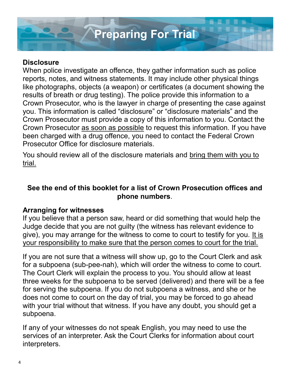

#### **Disclosure**

When police investigate an offence, they gather information such as police reports, notes, and witness statements. It may include other physical things like photographs, objects (a weapon) or certificates (a document showing the results of breath or drug testing). The police provide this information to a Crown Prosecutor, who is the lawyer in charge of presenting the case against you. This information is called "disclosure" or "disclosure materials" and the Crown Prosecutor must provide a copy of this information to you. Contact the Crown Prosecutor as soon as possible to request this information. If you have been charged with a drug offence, you need to contact the Federal Crown Prosecutor Office for disclosure materials.

You should review all of the disclosure materials and bring them with you to trial.

#### **See the end of this booklet for a list of Crown Prosecution offices and phone numbers**.

#### **Arranging for witnesses**

If you believe that a person saw, heard or did something that would help the Judge decide that you are not guilty (the witness has relevant evidence to give), you may arrange for the witness to come to court to testify for you. It is your responsibility to make sure that the person comes to court for the trial.

If you are not sure that a witness will show up, go to the Court Clerk and ask for a subpoena (sub-pee-nah), which will order the witness to come to court. The Court Clerk will explain the process to you. You should allow at least three weeks for the subpoena to be served (delivered) and there will be a fee for serving the subpoena. If you do not subpoena a witness, and she or he does not come to court on the day of trial, you may be forced to go ahead with your trial without that witness. If you have any doubt, you should get a subpoena.

If any of your witnesses do not speak English, you may need to use the services of an interpreter. Ask the Court Clerks for information about court interpreters.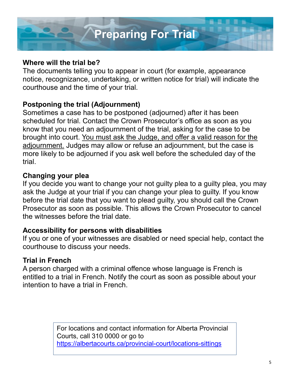

#### **Where will the trial be?**

The documents telling you to appear in court (for example, appearance notice, recognizance, undertaking, or written notice for trial) will indicate the courthouse and the time of your trial.

#### **Postponing the trial (Adjournment)**

Sometimes a case has to be postponed (adjourned) after it has been scheduled for trial. Contact the Crown Prosecutor's office as soon as you know that you need an adjournment of the trial, asking for the case to be brought into court. You must ask the Judge, and offer a valid reason for the adjournment. Judges may allow or refuse an adjournment, but the case is more likely to be adjourned if you ask well before the scheduled day of the trial.

#### **Changing your plea**

If you decide you want to change your not guilty plea to a guilty plea, you may ask the Judge at your trial if you can change your plea to guilty. If you know before the trial date that you want to plead guilty, you should call the Crown Prosecutor as soon as possible. This allows the Crown Prosecutor to cancel the witnesses before the trial date.

#### **Accessibility for persons with disabilities**

If you or one of your witnesses are disabled or need special help, contact the courthouse to discuss your needs.

#### **Trial in French**

A person charged with a criminal offence whose language is French is entitled to a trial in French. Notify the court as soon as possible about your intention to have a trial in French.

> For locations and contact information for Alberta Provincial Courts, call 310 0000 or go to [https://albertacourts.ca/provincial](https://albertacourts.ca/provincial-court/locations-sittings)-court/locations-sittings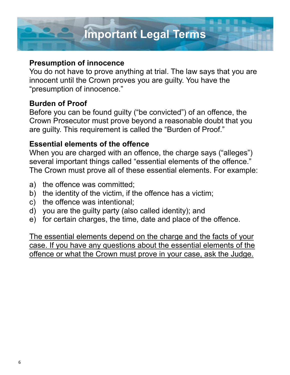

#### **Presumption of innocence**

You do not have to prove anything at trial. The law says that you are innocent until the Crown proves you are guilty. You have the "presumption of innocence."

#### **Burden of Proof**

Before you can be found guilty ("be convicted") of an offence, the Crown Prosecutor must prove beyond a reasonable doubt that you are guilty. This requirement is called the "Burden of Proof."

#### **Essential elements of the offence**

When you are charged with an offence, the charge says ("alleges") several important things called "essential elements of the offence." The Crown must prove all of these essential elements. For example:

- a) the offence was committed;
- b) the identity of the victim, if the offence has a victim;
- c) the offence was intentional;
- d) you are the guilty party (also called identity); and
- e) for certain charges, the time, date and place of the offence.

The essential elements depend on the charge and the facts of your case. If you have any questions about the essential elements of the offence or what the Crown must prove in your case, ask the Judge.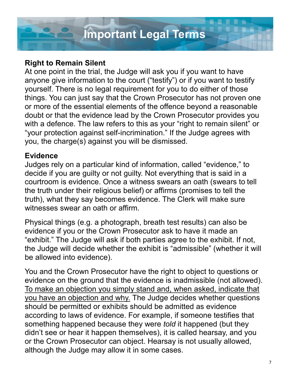

#### **Right to Remain Silent**

At one point in the trial, the Judge will ask you if you want to have anyone give information to the court ("testify") or if you want to testify yourself. There is no legal requirement for you to do either of those things. You can just say that the Crown Prosecutor has not proven one or more of the essential elements of the offence beyond a reasonable doubt or that the evidence lead by the Crown Prosecutor provides you with a defence. The law refers to this as your "right to remain silent" or "your protection against self-incrimination." If the Judge agrees with you, the charge(s) against you will be dismissed.

#### **Evidence**

Judges rely on a particular kind of information, called "evidence," to decide if you are guilty or not guilty. Not everything that is said in a courtroom is evidence. Once a witness swears an oath (swears to tell the truth under their religious belief) or affirms (promises to tell the truth), what they say becomes evidence. The Clerk will make sure witnesses swear an oath or affirm.

Physical things (e.g. a photograph, breath test results) can also be evidence if you or the Crown Prosecutor ask to have it made an "exhibit." The Judge will ask if both parties agree to the exhibit. If not, the Judge will decide whether the exhibit is "admissible" (whether it will be allowed into evidence).

You and the Crown Prosecutor have the right to object to questions or evidence on the ground that the evidence is inadmissible (not allowed). To make an objection you simply stand and, when asked, indicate that you have an objection and why. The Judge decides whether questions should be permitted or exhibits should be admitted as evidence according to laws of evidence. For example, if someone testifies that something happened because they were *told* it happened (but they didn't see or hear it happen themselves), it is called hearsay, and you or the Crown Prosecutor can object. Hearsay is not usually allowed, although the Judge may allow it in some cases.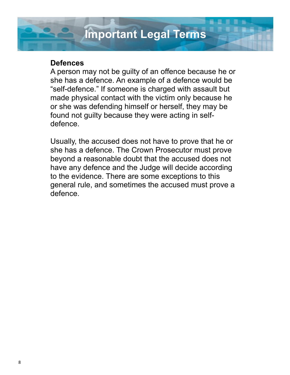### **Important Legal Terms**

#### **Defences**

A person may not be guilty of an offence because he or she has a defence. An example of a defence would be "self-defence." If someone is charged with assault but made physical contact with the victim only because he or she was defending himself or herself, they may be found not guilty because they were acting in selfdefence.

Usually, the accused does not have to prove that he or she has a defence. The Crown Prosecutor must prove beyond a reasonable doubt that the accused does not have any defence and the Judge will decide according to the evidence. There are some exceptions to this general rule, and sometimes the accused must prove a defence.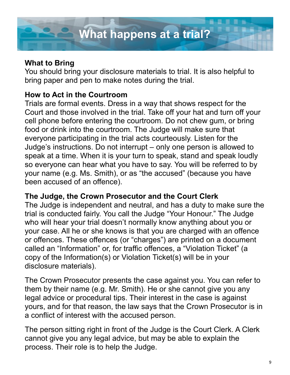#### **What to Bring**

You should bring your disclosure materials to trial. It is also helpful to bring paper and pen to make notes during the trial.

#### **How to Act in the Courtroom**

Trials are formal events. Dress in a way that shows respect for the Court and those involved in the trial. Take off your hat and turn off your cell phone before entering the courtroom. Do not chew gum, or bring food or drink into the courtroom. The Judge will make sure that everyone participating in the trial acts courteously. Listen for the Judge's instructions. Do not interrupt – only one person is allowed to speak at a time. When it is your turn to speak, stand and speak loudly so everyone can hear what you have to say. You will be referred to by your name (e.g. Ms. Smith), or as "the accused" (because you have been accused of an offence).

#### **The Judge, the Crown Prosecutor and the Court Clerk**

The Judge is independent and neutral, and has a duty to make sure the trial is conducted fairly. You call the Judge "Your Honour." The Judge who will hear your trial doesn't normally know anything about you or your case. All he or she knows is that you are charged with an offence or offences. These offences (or "charges") are printed on a document called an "Information" or, for traffic offences, a "Violation Ticket" (a copy of the Information(s) or Violation Ticket(s) will be in your disclosure materials).

The Crown Prosecutor presents the case against you. You can refer to them by their name (e.g. Mr. Smith). He or she cannot give you any legal advice or procedural tips. Their interest in the case is against yours, and for that reason, the law says that the Crown Prosecutor is in a conflict of interest with the accused person.

The person sitting right in front of the Judge is the Court Clerk. A Clerk cannot give you any legal advice, but may be able to explain the process. Their role is to help the Judge.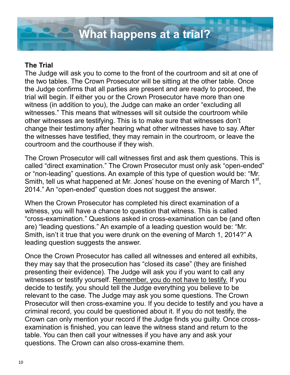

#### **The Trial**

The Judge will ask you to come to the front of the courtroom and sit at one of the two tables. The Crown Prosecutor will be sitting at the other table. Once the Judge confirms that all parties are present and are ready to proceed, the trial will begin. If either you or the Crown Prosecutor have more than one witness (in addition to you), the Judge can make an order "excluding all witnesses." This means that witnesses will sit outside the courtroom while other witnesses are testifying. This is to make sure that witnesses don't change their testimony after hearing what other witnesses have to say. After the witnesses have testified, they may remain in the courtroom, or leave the courtroom and the courthouse if they wish.

The Crown Prosecutor will call witnesses first and ask them questions. This is called "direct examination." The Crown Prosecutor must only ask "open-ended" or "non-leading" questions. An example of this type of question would be: "Mr. Smith, tell us what happened at Mr. Jones' house on the evening of March  $1<sup>st</sup>$ , 2014." An "open-ended" question does not suggest the answer.

When the Crown Prosecutor has completed his direct examination of a witness, you will have a chance to question that witness. This is called "cross-examination." Questions asked in cross-examination can be (and often are) "leading questions." An example of a leading question would be: "Mr. Smith, isn't it true that you were drunk on the evening of March 1, 2014?" A leading question suggests the answer.

Once the Crown Prosecutor has called all witnesses and entered all exhibits, they may say that the prosecution has "closed its case" (they are finished presenting their evidence). The Judge will ask you if you want to call any witnesses or testify yourself. Remember, you do not have to testify. If you decide to testify, you should tell the Judge everything you believe to be relevant to the case. The Judge may ask you some questions. The Crown Prosecutor will then cross-examine you. If you decide to testify and you have a criminal record, you could be questioned about it. If you do not testify, the Crown can only mention your record if the Judge finds you guilty. Once crossexamination is finished, you can leave the witness stand and return to the table. You can then call your witnesses if you have any and ask your questions. The Crown can also cross-examine them.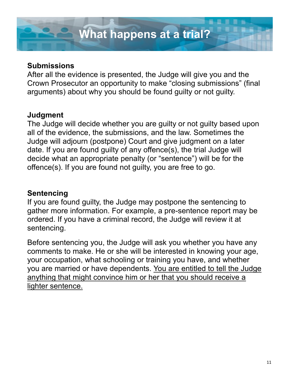#### **Submissions**

After all the evidence is presented, the Judge will give you and the Crown Prosecutor an opportunity to make "closing submissions" (final arguments) about why you should be found guilty or not guilty.

#### **Judgment**

The Judge will decide whether you are guilty or not guilty based upon all of the evidence, the submissions, and the law. Sometimes the Judge will adjourn (postpone) Court and give judgment on a later date. If you are found guilty of any offence(s), the trial Judge will decide what an appropriate penalty (or "sentence") will be for the offence(s). If you are found not guilty, you are free to go.

#### **Sentencing**

If you are found guilty, the Judge may postpone the sentencing to gather more information. For example, a pre-sentence report may be ordered. If you have a criminal record, the Judge will review it at sentencing.

Before sentencing you, the Judge will ask you whether you have any comments to make. He or she will be interested in knowing your age, your occupation, what schooling or training you have, and whether you are married or have dependents. You are entitled to tell the Judge anything that might convince him or her that you should receive a lighter sentence.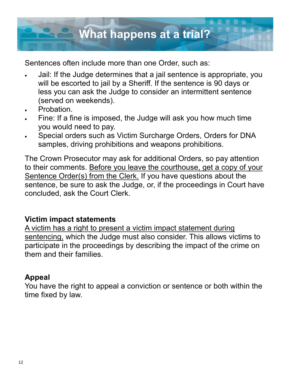

Sentences often include more than one Order, such as:

- Jail: If the Judge determines that a jail sentence is appropriate, you will be escorted to jail by a Sheriff. If the sentence is 90 days or less you can ask the Judge to consider an intermittent sentence (served on weekends).
- Probation.
- Fine: If a fine is imposed, the Judge will ask you how much time you would need to pay.
- Special orders such as Victim Surcharge Orders, Orders for DNA samples, driving prohibitions and weapons prohibitions.

The Crown Prosecutor may ask for additional Orders, so pay attention to their comments. Before you leave the courthouse, get a copy of your Sentence Order(s) from the Clerk. If you have questions about the sentence, be sure to ask the Judge, or, if the proceedings in Court have concluded, ask the Court Clerk.

#### **Victim impact statements**

A victim has a right to present a victim impact statement during sentencing, which the Judge must also consider. This allows victims to participate in the proceedings by describing the impact of the crime on them and their families.

#### **Appeal**

You have the right to appeal a conviction or sentence or both within the time fixed by law.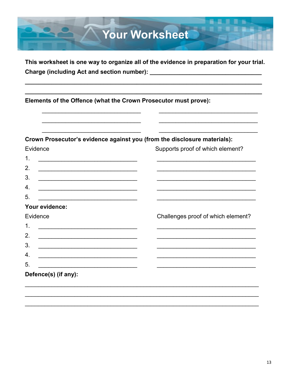# **Your Worksheet**

This worksheet is one way to organize all of the evidence in preparation for your trial. 

Elements of the Offence (what the Crown Prosecutor must prove):

Crown Prosecutor's evidence against you (from the disclosure materials):

| Evidence                                                                                                                                | Supports proof of which element?   |
|-----------------------------------------------------------------------------------------------------------------------------------------|------------------------------------|
| $\mathbf 1$ .<br><u> 1989 - Johann Stoff, deutscher Stoffen und der Stoffen und der Stoffen und der Stoffen und der Stoffen und der</u> |                                    |
| 2.<br><u> 1989 - Johann Barbara, marka a shekara tsa 1989 - An tsa 1989 - An tsa 1989 - An tsa 1989 - An tsa 1989 - An</u>              |                                    |
| 3.<br><u> 1989 - Johann Stoff, Amerikaansk politiker (* 1989)</u>                                                                       |                                    |
| 4.<br><u> 1989 - Johann Stoff, disk fan it fan it fan it fan it fan it fan it fan it fan it fan it fan it fan it fan i</u>              |                                    |
| 5.<br><u> 1989 - Johann John Stein, markin fan it fjort fan it fjort fan it fjort fan it fjort fan it fjort fan it fjort f</u>          |                                    |
| Your evidence:                                                                                                                          |                                    |
| Evidence                                                                                                                                | Challenges proof of which element? |
| 1.<br><u> 1989 - Johann John Stein, marwolaeth a bhann an t-Amhainn an t-Amhainn an t-Amhainn an t-Amhainn an t-Amhain</u>              |                                    |
| 2.<br><u> 1989 - Johann Stein, marwolaethau a bhann an t-Amhain an t-Amhain an t-Amhain an t-Amhain an t-Amhain an t-A</u>              |                                    |
| 3.                                                                                                                                      |                                    |
| 4.<br><u> 1989 - Johann Barbara, martxa alemaniar amerikan basar da a</u>                                                               |                                    |
| 5.                                                                                                                                      |                                    |
| Defence(s) (if any):                                                                                                                    |                                    |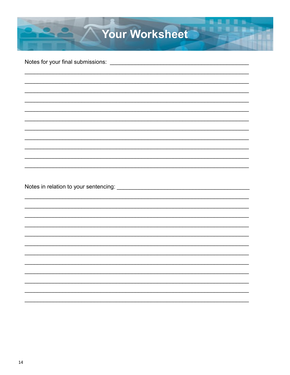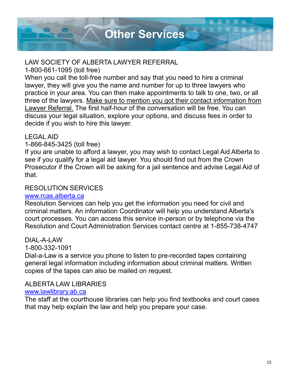

#### LAW SOCIETY OF ALBERTA LAWYER REFERRAL

1-800-661-1095 (toll free)

When you call the toll-free number and say that you need to hire a criminal lawyer, they will give you the name and number for up to three lawyers who practice in your area. You can then make appointments to talk to one, two, or all three of the lawyers. Make sure to mention you got their contact information from Lawyer Referral. The first half-hour of the conversation will be free. You can discuss your legal situation, explore your options, and discuss fees in order to decide if you wish to hire this lawyer.

#### LEGAL AID

#### 1-866-845-3425 (toll free)

If you are unable to afford a lawyer, you may wish to contact Legal Aid Alberta to see if you qualify for a legal aid lawyer. You should find out from the Crown Prosecutor if the Crown will be asking for a jail sentence and advise Legal Aid of that.

#### RESOLUTION SERVICES

#### www.rcas.alberta.ca

Resolution Services can help you get the information you need for civil and criminal matters. An information Coordinator will help you understand Alberta's court processes. You can access this service in-person or by telephone via the Resolution and Court Administration Services contact centre at 1-855-738-4747

#### DIAL-A-LAW

#### 1-800-332-1091

Dial-a-Law is a service you phone to listen to pre-recorded tapes containing general legal information including information about criminal matters. Written copies of the tapes can also be mailed on request.

#### ALBERTA LAW LIBRARIES

#### [www.lawlibrary.ab.ca](http://www.lawlibrary.ab.ca)

The staff at the courthouse libraries can help you find textbooks and court cases that may help explain the law and help you prepare your case.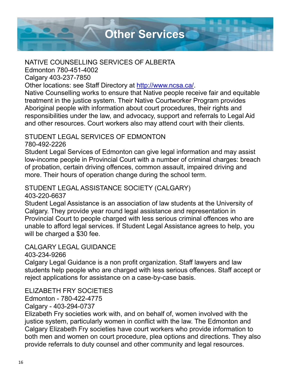

#### NATIVE COUNSELLING SERVICES OF ALBERTA

Edmonton 780-451-4002

Calgary 403-237-7850

Other locations: see Staff Directory at [http://www.ncsa.ca/.](http://www.ncsa.ca/)

Native Counselling works to ensure that Native people receive fair and equitable treatment in the justice system. Their Native Courtworker Program provides Aboriginal people with information about court procedures, their rights and responsibilities under the law, and advocacy, support and referrals to Legal Aid and other resources. Court workers also may attend court with their clients.

#### STUDENT LEGAL SERVICES OF EDMONTON

#### 780-492-2226

Student Legal Services of Edmonton can give legal information and may assist low-income people in Provincial Court with a number of criminal charges: breach of probation, certain driving offences, common assault, impaired driving and more. Their hours of operation change during the school term.

#### STUDENT LEGAL ASSISTANCE SOCIETY (CALGARY)

#### 403-220-6637

Student Legal Assistance is an association of law students at the University of Calgary. They provide year round legal assistance and representation in Provincial Court to people charged with less serious criminal offences who are unable to afford legal services. If Student Legal Assistance agrees to help, you will be charged a \$30 fee.

#### CALGARY LEGAL GUIDANCE

#### 403-234-9266

Calgary Legal Guidance is a non profit organization. Staff lawyers and law students help people who are charged with less serious offences. Staff accept or reject applications for assistance on a case-by-case basis.

#### ELIZABETH FRY SOCIETIES

Edmonton - 780-422-4775

#### Calgary - 403-294-0737

Elizabeth Fry societies work with, and on behalf of, women involved with the justice system, particularly women in conflict with the law. The Edmonton and Calgary Elizabeth Fry societies have court workers who provide information to both men and women on court procedure, plea options and directions. They also provide referrals to duty counsel and other community and legal resources.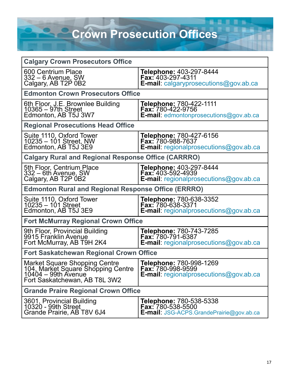**Crown Prosecution Offices** 

| <b>Calgary Crown Prosecutors Office</b>                                                                                     |                                                                                                             |  |
|-----------------------------------------------------------------------------------------------------------------------------|-------------------------------------------------------------------------------------------------------------|--|
| 600 Centrium Place<br><u>332 – 6 Avenue, SW</u><br>Calgary, AB T2P 0B2                                                      | Telephone: 403-297-8444<br>Fax: 403-297-4311<br><b>E-mail:</b> calgaryprosecutions@gov.ab.ca                |  |
| <b>Edmonton Crown Prosecutors Office</b>                                                                                    |                                                                                                             |  |
| 6th Floor, J.E. Brownlee Building<br>10365 – 97th Street<br>Edmonton, AB T5J 3W7                                            | Telephone: 780-422-1111<br><b>Fax: 780-422-9756</b><br><b>E-mail:</b> edmontonprosecutions@gov.ab.ca        |  |
| <b>Regional Prosecutions Head Office</b>                                                                                    |                                                                                                             |  |
| Suite 1110, Oxford Tower<br>10235 - 101 Street, NW<br>Edmonton, AB T5J 3E9                                                  | <b>Telephone: 780-427-6156</b><br><b>Fax: 780-988-7637</b><br>E-mail: regionalprosecutions@gov.ab.ca        |  |
| <b>Calgary Rural and Regional Response Office (CARRRO)</b>                                                                  |                                                                                                             |  |
| 5th Floor, Centrium Place<br>332 – 6th Avenue, SW<br>Calgary, AB T2P 0B2                                                    | Telephone: 403-297-8444<br><b>Fax: 403-592-4939</b><br><b>E-mail:</b> regionalprosecutions@gov.ab.ca        |  |
| <b>Edmonton Rural and Regional Response Office (ERRRO)</b>                                                                  |                                                                                                             |  |
| Suite 1110, Oxford Tower<br>10235 – 101 Street<br>Edmonton, AB T5J 3E9                                                      | <b>Telephone: 780-638-3352</b><br>Fax: 780-638-3371<br><b>E-mail:</b> regionalprosecutions@gov.ab.ca        |  |
| <b>Fort McMurray Regional Crown Office</b>                                                                                  |                                                                                                             |  |
| 9th Floor, Provincial Building<br>9915 Franklin Avenue<br>Fort McMurray, AB T9H 2K4                                         | Telephone: 780-743-7285<br>Fax: 780-791-6387<br>E-mail: regionalprosecutions@gov.ab.ca                      |  |
| <b>Fort Saskatchewan Regional Crown Office</b>                                                                              |                                                                                                             |  |
| Market Square Shopping Centre<br>104, Market Square Shopping Centre<br>10404 – 99th Avenue<br>Fort Saskatchewan, AB T8L 3W2 | <b>Telephone: 780-998-1269</b><br><b>Fax: 780-998-9599</b><br><b>E-mail:</b> regionalprosecutions@gov.ab.ca |  |
| <b>Grande Praire Regional Crown Office</b>                                                                                  |                                                                                                             |  |
| 3601, Provincial Building<br>10320 - 99th Street<br>Grande Prairie, AB T8V 6J4                                              | <b>Telephone: 780-538-5338</b><br><b>Fax: 780-538-5500</b><br>E-mail: JSG-ACPS.GrandePrairie@gov.ab.ca      |  |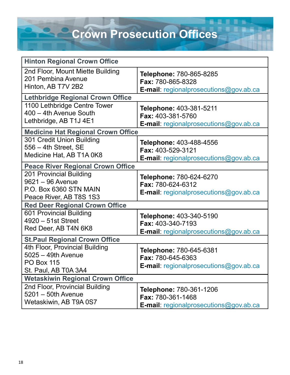## **Crown Prosecution Offices**

| <b>Hinton Regional Crown Office</b>                                                               |                                                                                                             |  |
|---------------------------------------------------------------------------------------------------|-------------------------------------------------------------------------------------------------------------|--|
| 2nd Floor, Mount Miette Building<br>201 Pembina Avenue<br>Hinton, AB T7V 2B2                      | Telephone: 780-865-8285<br><b>Fax: 780-865-8328</b><br><b>E-mail:</b> regionalprosecutions@gov.ab.ca        |  |
| <b>Lethbridge Regional Crown Office</b>                                                           |                                                                                                             |  |
| 1100 Lethbridge Centre Tower<br>400 - 4th Avenue South<br>Lethbridge, AB T1J 4E1                  | Telephone: 403-381-5211<br><b>Fax: 403-381-5760</b><br><b>E-mail:</b> regionalprosecutions@gov.ab.ca        |  |
| <b>Medicine Hat Regional Crown Office</b>                                                         |                                                                                                             |  |
| 301 Credit Union Building<br>$556 - 4th$ Street, SE<br>Medicine Hat, AB T1A 0K8                   | <b>Telephone: 403-488-4556</b><br><b>Fax: 403-529-3121</b><br><b>E-mail:</b> regionalprosecutions@gov.ab.ca |  |
| <b>Peace River Regional Crown Office</b>                                                          |                                                                                                             |  |
| 201 Provincial Building<br>9621 - 96 Avenue<br>P.O. Box 6360 STN MAIN<br>Peace River, AB T8S 1S3  | Telephone: 780-624-6270<br><b>Fax: 780-624-6312</b><br>E-mail: regionalprosecutions@gov.ab.ca               |  |
| <b>Red Deer Regional Crown Office</b>                                                             |                                                                                                             |  |
| 601 Provincial Building<br>4920 - 51st Street<br>Red Deer, AB T4N 6K8                             | Telephone: 403-340-5190<br><b>Fax: 403-340-7193</b><br><b>E-mail:</b> regionalprosecutions@gov.ab.ca        |  |
| <b>St.Paul Regional Crown Office</b>                                                              |                                                                                                             |  |
| 4th Floor, Provincial Building<br>5025 - 49th Avenue<br><b>PO Box 115</b><br>St. Paul, AB T0A 3A4 | Telephone: 780-645-6381<br>Fax: 780-645-6363<br><b>E-mail:</b> regionalprosecutions@gov.ab.ca               |  |
| <b>Wetaskiwin Regional Crown Office</b>                                                           |                                                                                                             |  |
| 2nd Floor, Provincial Building<br>$5201 - 50$ th Avenue<br>Wetaskiwin, AB T9A 0S7                 | <b>Telephone: 780-361-1206</b><br><b>Fax: 780-361-1468</b><br>E-mail: regionalprosecutions@gov.ab.ca        |  |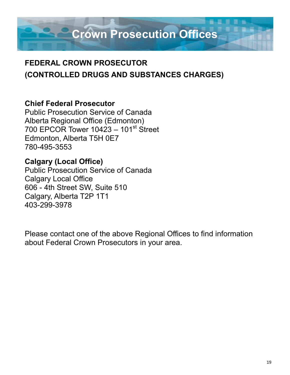**Crown Prosecution Offices**

#### **FEDERAL CROWN PROSECUTOR (CONTROLLED DRUGS AND SUBSTANCES CHARGES)**

#### **Chief Federal Prosecutor**

Public Prosecution Service of Canada Alberta Regional Office (Edmonton) 700 EPCOR Tower  $10423 - 101$ <sup>st</sup> Street Edmonton, Alberta T5H 0E7 780-495-3553

#### **Calgary (Local Office)**

Public Prosecution Service of Canada Calgary Local Office 606 - 4th Street SW, Suite 510 Calgary, Alberta T2P 1T1 403-299-3978

Please contact one of the above Regional Offices to find information about Federal Crown Prosecutors in your area.